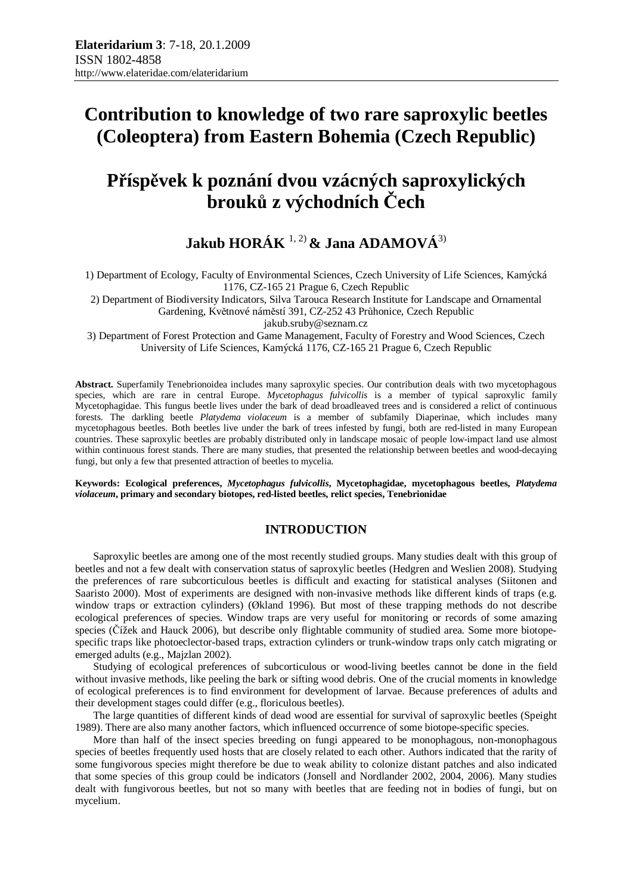# **Contribution to knowledge of two rare saproxylic beetles (Coleoptera) from Eastern Bohemia (Czech Republic)**

# **Příspěvek k poznání dvou vzácných saproxylických brouků z východních Čech**

**Jakub HORÁK** 1, 2) **& Jana ADAMOVÁ**3)

1) Department of Ecology, Faculty of Environmental Sciences, Czech University of Life Sciences, Kamýcká 1176, CZ-165 21 Prague 6, Czech Republic

2) Department of Biodiversity Indicators, Silva Tarouca Research Institute for Landscape and Ornamental Gardening, Květnové náměstí 391, CZ-252 43 Průhonice, Czech Republic

jakub.sruby@seznam.cz

3) Department of Forest Protection and Game Management, Faculty of Forestry and Wood Sciences, Czech University of Life Sciences, Kamýcká 1176, CZ-165 21 Prague 6, Czech Republic

**Abstract.** Superfamily Tenebrionoidea includes many saproxylic species. Our contribution deals with two mycetophagous species, which are rare in central Europe. *Mycetophagus fulvicollis* is a member of typical saproxylic family Mycetophagidae. This fungus beetle lives under the bark of dead broadleaved trees and is considered a relict of continuous forests. The darkling beetle *Platydema violaceum* is a member of subfamily Diaperinae, which includes many mycetophagous beetles. Both beetles live under the bark of trees infested by fungi, both are red-listed in many European countries. These saproxylic beetles are probably distributed only in landscape mosaic of people low-impact land use almost within continuous forest stands. There are many studies, that presented the relationship between beetles and wood-decaying fungi, but only a few that presented attraction of beetles to mycelia.

**Keywords: Ecological preferences,** *Mycetophagus fulvicollis***, Mycetophagidae, mycetophagous beetles,** *Platydema violaceum***, primary and secondary biotopes, red-listed beetles, relict species, Tenebrionidae** 

# **INTRODUCTION**

Saproxylic beetles are among one of the most recently studied groups. Many studies dealt with this group of beetles and not a few dealt with conservation status of saproxylic beetles (Hedgren and Weslien 2008). Studying the preferences of rare subcorticulous beetles is difficult and exacting for statistical analyses (Siitonen and Saaristo 2000). Most of experiments are designed with non-invasive methods like different kinds of traps (e.g. window traps or extraction cylinders) (Økland 1996). But most of these trapping methods do not describe ecological preferences of species. Window traps are very useful for monitoring or records of some amazing species (Čížek and Hauck 2006), but describe only flightable community of studied area. Some more biotopespecific traps like photoeclector-based traps, extraction cylinders or trunk-window traps only catch migrating or emerged adults (e.g., Majzlan 2002).

Studying of ecological preferences of subcorticulous or wood-living beetles cannot be done in the field without invasive methods, like peeling the bark or sifting wood debris. One of the crucial moments in knowledge of ecological preferences is to find environment for development of larvae. Because preferences of adults and their development stages could differ (e.g., floriculous beetles).

The large quantities of different kinds of dead wood are essential for survival of saproxylic beetles (Speight 1989). There are also many another factors, which influenced occurrence of some biotope-specific species.

More than half of the insect species breeding on fungi appeared to be monophagous, non-monophagous species of beetles frequently used hosts that are closely related to each other. Authors indicated that the rarity of some fungivorous species might therefore be due to weak ability to colonize distant patches and also indicated that some species of this group could be indicators (Jonsell and Nordlander 2002, 2004, 2006). Many studies dealt with fungivorous beetles, but not so many with beetles that are feeding not in bodies of fungi, but on mycelium.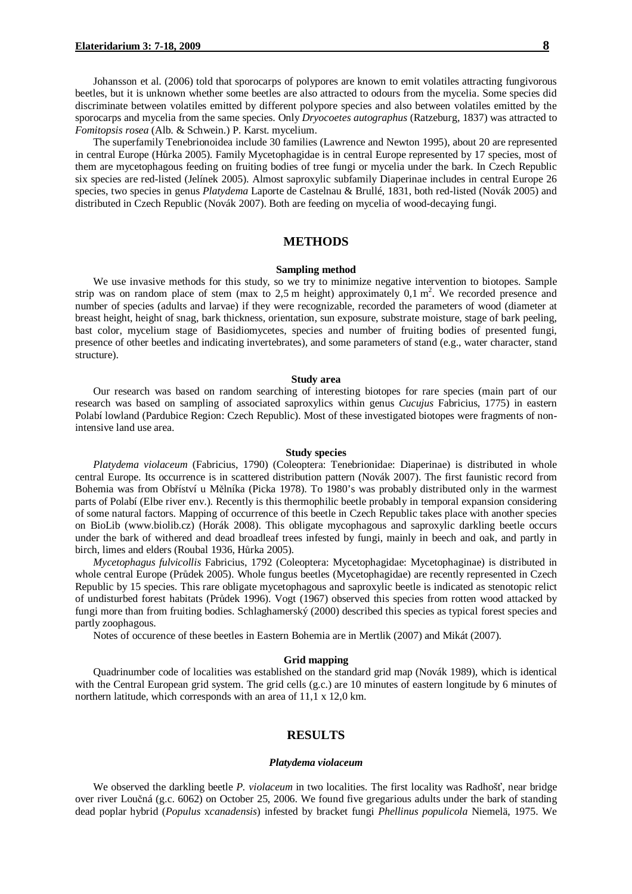Johansson et al. (2006) told that sporocarps of polypores are known to emit volatiles attracting fungivorous beetles, but it is unknown whether some beetles are also attracted to odours from the mycelia. Some species did discriminate between volatiles emitted by different polypore species and also between volatiles emitted by the sporocarps and mycelia from the same species. Only *Dryocoetes autographus* (Ratzeburg, 1837) was attracted to *Fomitopsis rosea* (Alb. & Schwein.) P. Karst. mycelium.

The superfamily Tenebrionoidea include 30 families (Lawrence and Newton 1995), about 20 are represented in central Europe (Hůrka 2005). Family Mycetophagidae is in central Europe represented by 17 species, most of them are mycetophagous feeding on fruiting bodies of tree fungi or mycelia under the bark. In Czech Republic six species are red-listed (Jelínek 2005). Almost saproxylic subfamily Diaperinae includes in central Europe 26 species, two species in genus *Platydema* Laporte de Castelnau & Brullé, 1831, both red-listed (Novák 2005) and distributed in Czech Republic (Novák 2007). Both are feeding on mycelia of wood-decaying fungi.

# **METHODS**

#### **Sampling method**

We use invasive methods for this study, so we try to minimize negative intervention to biotopes. Sample strip was on random place of stem (max to 2,5 m height) approximately  $0,1 \text{ m}^2$ . We recorded presence and number of species (adults and larvae) if they were recognizable, recorded the parameters of wood (diameter at breast height, height of snag, bark thickness, orientation, sun exposure, substrate moisture, stage of bark peeling, bast color, mycelium stage of Basidiomycetes, species and number of fruiting bodies of presented fungi, presence of other beetles and indicating invertebrates), and some parameters of stand (e.g., water character, stand structure).

#### **Study area**

Our research was based on random searching of interesting biotopes for rare species (main part of our research was based on sampling of associated saproxylics within genus *Cucujus* Fabricius, 1775) in eastern Polabí lowland (Pardubice Region: Czech Republic). Most of these investigated biotopes were fragments of nonintensive land use area.

#### **Study species**

*Platydema violaceum* (Fabricius, 1790) (Coleoptera: Tenebrionidae: Diaperinae) is distributed in whole central Europe. Its occurrence is in scattered distribution pattern (Novák 2007). The first faunistic record from Bohemia was from Obříství u Mělníka (Picka 1978). To 1980's was probably distributed only in the warmest parts of Polabí (Elbe river env.). Recently is this thermophilic beetle probably in temporal expansion considering of some natural factors. Mapping of occurrence of this beetle in Czech Republic takes place with another species on BioLib (www.biolib.cz) (Horák 2008). This obligate mycophagous and saproxylic darkling beetle occurs under the bark of withered and dead broadleaf trees infested by fungi, mainly in beech and oak, and partly in birch, limes and elders (Roubal 1936, Hůrka 2005).

*Mycetophagus fulvicollis* Fabricius, 1792 (Coleoptera: Mycetophagidae: Mycetophaginae) is distributed in whole central Europe (Průdek 2005). Whole fungus beetles (Mycetophagidae) are recently represented in Czech Republic by 15 species. This rare obligate mycetophagous and saproxylic beetle is indicated as stenotopic relict of undisturbed forest habitats (Průdek 1996). Vogt (1967) observed this species from rotten wood attacked by fungi more than from fruiting bodies. Schlaghamerský (2000) described this species as typical forest species and partly zoophagous.

Notes of occurence of these beetles in Eastern Bohemia are in Mertlik (2007) and Mikát (2007).

#### **Grid mapping**

Quadrinumber code of localities was established on the standard grid map (Novák 1989), which is identical with the Central European grid system. The grid cells (g.c.) are 10 minutes of eastern longitude by 6 minutes of northern latitude, which corresponds with an area of 11,1 x 12,0 km.

## **RESULTS**

#### *Platydema violaceum*

We observed the darkling beetle *P. violaceum* in two localities. The first locality was Radhošť, near bridge over river Loučná (g.c. 6062) on October 25, 2006. We found five gregarious adults under the bark of standing dead poplar hybrid (*Populus* x*canadensis*) infested by bracket fungi *Phellinus populicola* Niemelä, 1975. We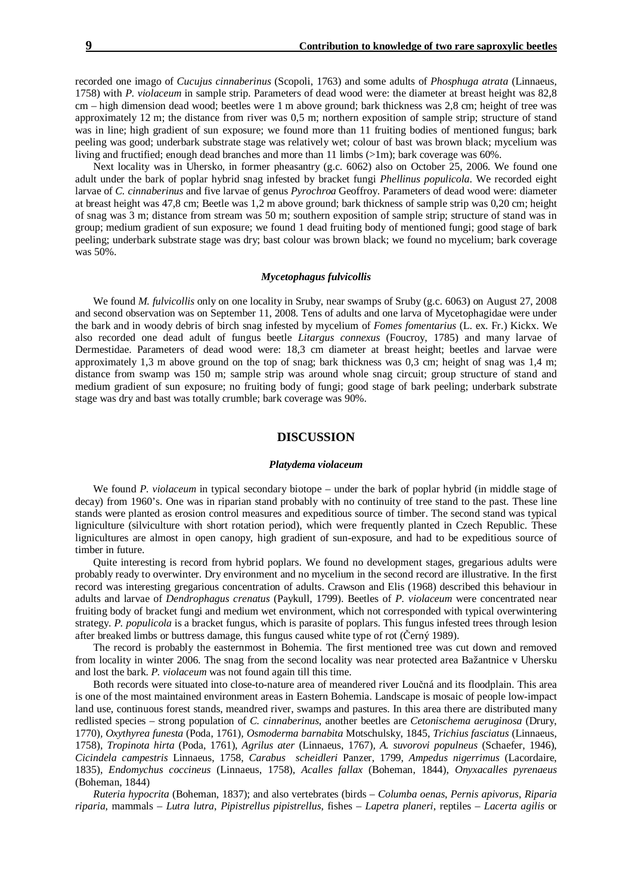recorded one imago of *Cucujus cinnaberinus* (Scopoli, 1763) and some adults of *Phosphuga atrata* (Linnaeus, 1758) with *P. violaceum* in sample strip. Parameters of dead wood were: the diameter at breast height was 82,8 cm – high dimension dead wood; beetles were 1 m above ground; bark thickness was 2,8 cm; height of tree was approximately 12 m; the distance from river was 0,5 m; northern exposition of sample strip; structure of stand was in line; high gradient of sun exposure; we found more than 11 fruiting bodies of mentioned fungus; bark peeling was good; underbark substrate stage was relatively wet; colour of bast was brown black; mycelium was living and fructified; enough dead branches and more than 11 limbs  $(>1m)$ ; bark coverage was 60%.

Next locality was in Uhersko, in former pheasantry (g.c. 6062) also on October 25, 2006. We found one adult under the bark of poplar hybrid snag infested by bracket fungi *Phellinus populicola*. We recorded eight larvae of *C. cinnaberinus* and five larvae of genus *Pyrochroa* Geoffroy. Parameters of dead wood were: diameter at breast height was 47,8 cm; Beetle was 1,2 m above ground; bark thickness of sample strip was 0,20 cm; height of snag was 3 m; distance from stream was 50 m; southern exposition of sample strip; structure of stand was in group; medium gradient of sun exposure; we found 1 dead fruiting body of mentioned fungi; good stage of bark peeling; underbark substrate stage was dry; bast colour was brown black; we found no mycelium; bark coverage was 50%.

#### *Mycetophagus fulvicollis*

We found *M. fulvicollis* only on one locality in Sruby, near swamps of Sruby (g.c. 6063) on August 27, 2008 and second observation was on September 11, 2008. Tens of adults and one larva of Mycetophagidae were under the bark and in woody debris of birch snag infested by mycelium of *Fomes fomentarius* (L. ex. Fr.) Kickx. We also recorded one dead adult of fungus beetle *Litargus connexus* (Foucroy, 1785) and many larvae of Dermestidae. Parameters of dead wood were: 18,3 cm diameter at breast height; beetles and larvae were approximately 1,3 m above ground on the top of snag; bark thickness was 0,3 cm; height of snag was 1,4 m; distance from swamp was 150 m; sample strip was around whole snag circuit; group structure of stand and medium gradient of sun exposure; no fruiting body of fungi; good stage of bark peeling; underbark substrate stage was dry and bast was totally crumble; bark coverage was 90%.

# **DISCUSSION**

#### *Platydema violaceum*

We found *P. violaceum* in typical secondary biotope – under the bark of poplar hybrid (in middle stage of decay) from 1960's. One was in riparian stand probably with no continuity of tree stand to the past. These line stands were planted as erosion control measures and expeditious source of timber. The second stand was typical ligniculture (silviculture with short rotation period), which were frequently planted in Czech Republic. These lignicultures are almost in open canopy, high gradient of sun-exposure, and had to be expeditious source of timber in future.

Quite interesting is record from hybrid poplars. We found no development stages, gregarious adults were probably ready to overwinter. Dry environment and no mycelium in the second record are illustrative. In the first record was interesting gregarious concentration of adults. Crawson and Elis (1968) described this behaviour in adults and larvae of *Dendrophagus crenatus* (Paykull, 1799). Beetles of *P. violaceum* were concentrated near fruiting body of bracket fungi and medium wet environment, which not corresponded with typical overwintering strategy. *P. populicola* is a bracket fungus, which is parasite of poplars. This fungus infested trees through lesion after breaked limbs or buttress damage, this fungus caused white type of rot (Černý 1989).

The record is probably the easternmost in Bohemia. The first mentioned tree was cut down and removed from locality in winter 2006. The snag from the second locality was near protected area Bažantnice v Uhersku and lost the bark. *P. violaceum* was not found again till this time.

Both records were situated into close-to-nature area of meandered river Loučná and its floodplain. This area is one of the most maintained environment areas in Eastern Bohemia. Landscape is mosaic of people low-impact land use, continuous forest stands, meandred river, swamps and pastures. In this area there are distributed many redlisted species – strong population of *C. cinnaberinus*, another beetles are *Cetonischema aeruginosa* (Drury, 1770)*, Oxythyrea funesta* (Poda, 1761)*, Osmoderma barnabita* Motschulsky, 1845, *Trichius fasciatus* (Linnaeus, 1758), *Tropinota hirta* (Poda, 1761), *Agrilus ater* (Linnaeus, 1767)*, A. suvorovi populneus* (Schaefer, 1946), *Cicindela campestris* Linnaeus, 1758, *Carabus scheidleri* Panzer, 1799, *Ampedus nigerrimus* (Lacordaire, 1835), *Endomychus coccineus* (Linnaeus, 1758), *Acalles fallax* (Boheman, 1844), *Onyxacalles pyrenaeus*  (Boheman, 1844)

*Ruteria hypocrita* (Boheman, 1837); and also vertebrates (birds – *Columba oenas*, *Pernis apivorus*, *Riparia riparia*, mammals – *Lutra lutra*, *Pipistrellus pipistrellus*, fishes – *Lapetra planeri*, reptiles – *Lacerta agilis* or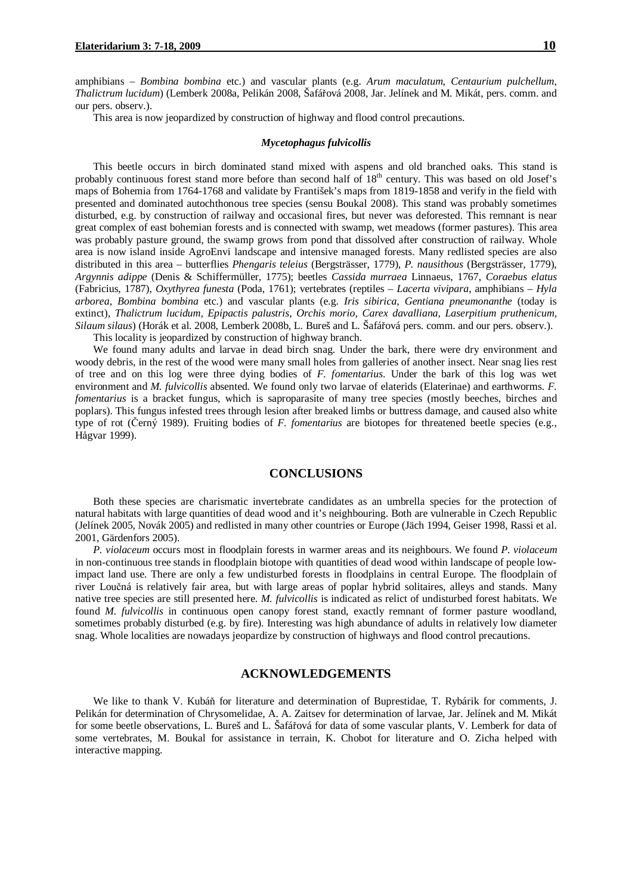amphibians – *Bombina bombina* etc.) and vascular plants (e.g. *Arum maculatum, Centaurium pulchellum*, *Thalictrum lucidum*) (Lemberk 2008a, Pelikán 2008, Šafářová 2008, Jar. Jelínek and M. Mikát, pers. comm. and our pers. observ.).

This area is now jeopardized by construction of highway and flood control precautions.

#### *Mycetophagus fulvicollis*

This beetle occurs in birch dominated stand mixed with aspens and old branched oaks. This stand is probably continuous forest stand more before than second half of  $18<sup>th</sup>$  century. This was based on old Josef's maps of Bohemia from 1764-1768 and validate by František's maps from 1819-1858 and verify in the field with presented and dominated autochthonous tree species (sensu Boukal 2008). This stand was probably sometimes disturbed, e.g. by construction of railway and occasional fires, but never was deforested. This remnant is near great complex of east bohemian forests and is connected with swamp, wet meadows (former pastures). This area was probably pasture ground, the swamp grows from pond that dissolved after construction of railway. Whole area is now island inside AgroEnvi landscape and intensive managed forests. Many redlisted species are also distributed in this area – butterflies *Phengaris teleius* (Bergsträsser, 1779), *P. nausithous* (Bergsträsser, 1779), *Argynnis adippe* (Denis & Schiffermüller, 1775); beetles *Cassida murraea* Linnaeus, 1767, *Coraebus elatus* (Fabricius, 1787), *Oxythyrea funesta* (Poda, 1761); vertebrates (reptiles – *Lacerta vivipara*, amphibians – *Hyla arborea, Bombina bombina* etc.) and vascular plants (e.g. *Iris sibirica, Gentiana pneumonanthe* (today is extinct)*, Thalictrum lucidum, Epipactis palustris, Orchis morio, Carex davalliana, Laserpitium pruthenicum, Silaum silaus*) (Horák et al. 2008, Lemberk 2008b, L. Bureš and L. Šafářová pers. comm. and our pers. observ.).

This locality is jeopardized by construction of highway branch.

We found many adults and larvae in dead birch snag. Under the bark, there were dry environment and woody debris, in the rest of the wood were many small holes from galleries of another insect. Near snag lies rest of tree and on this log were three dying bodies of *F. fomentarius*. Under the bark of this log was wet environment and *M. fulvicollis* absented. We found only two larvae of elaterids (Elaterinae) and earthworms. *F. fomentarius* is a bracket fungus, which is saproparasite of many tree species (mostly beeches, birches and poplars). This fungus infested trees through lesion after breaked limbs or buttress damage, and caused also white type of rot (Černý 1989). Fruiting bodies of *F. fomentarius* are biotopes for threatened beetle species (e.g., Hågvar 1999).

### **CONCLUSIONS**

Both these species are charismatic invertebrate candidates as an umbrella species for the protection of natural habitats with large quantities of dead wood and it's neighbouring. Both are vulnerable in Czech Republic (Jelínek 2005, Novák 2005) and redlisted in many other countries or Europe (Jäch 1994, Geiser 1998, Rassi et al. 2001, Gärdenfors 2005).

*P. violaceum* occurs most in floodplain forests in warmer areas and its neighbours. We found *P. violaceum* in non-continuous tree stands in floodplain biotope with quantities of dead wood within landscape of people lowimpact land use. There are only a few undisturbed forests in floodplains in central Europe. The floodplain of river Loučná is relatively fair area, but with large areas of poplar hybrid solitaires, alleys and stands. Many native tree species are still presented here. *M. fulvicollis* is indicated as relict of undisturbed forest habitats. We found *M. fulvicollis* in continuous open canopy forest stand, exactly remnant of former pasture woodland, sometimes probably disturbed (e.g. by fire). Interesting was high abundance of adults in relatively low diameter snag. Whole localities are nowadays jeopardize by construction of highways and flood control precautions.

# **ACKNOWLEDGEMENTS**

We like to thank V. Kubáň for literature and determination of Buprestidae, T. Rybárik for comments, J. Pelikán for determination of Chrysomelidae, A. A. Zaitsev for determination of larvae, Jar. Jelínek and M. Mikát for some beetle observations, L. Bureš and L. Šafářová for data of some vascular plants, V. Lemberk for data of some vertebrates, M. Boukal for assistance in terrain, K. Chobot for literature and O. Zicha helped with interactive mapping.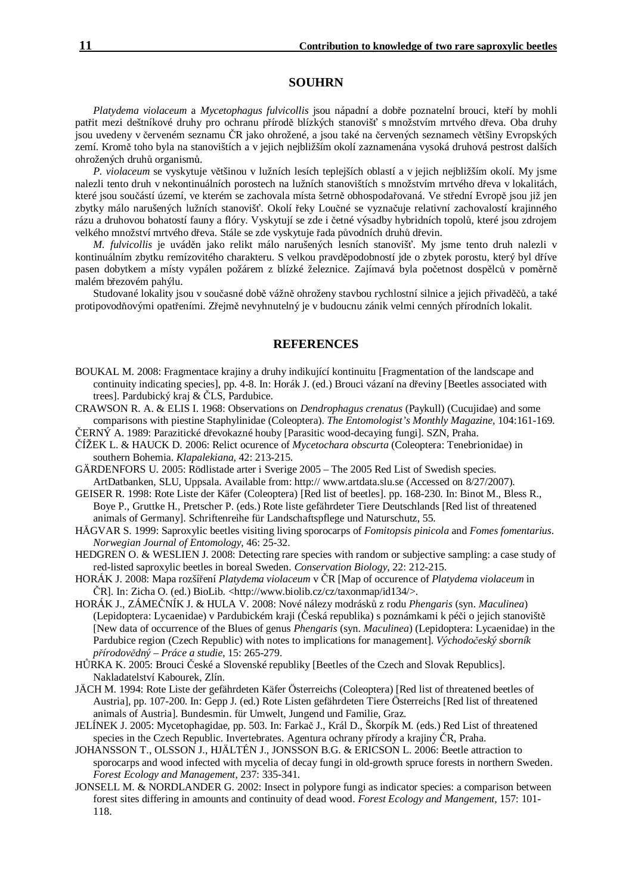### **SOUHRN**

*Platydema violaceum* a *Mycetophagus fulvicollis* jsou nápadní a dobře poznatelní brouci, kteří by mohli patřit mezi deštníkové druhy pro ochranu přírodě blízkých stanovišť s množstvím mrtvého dřeva. Oba druhy jsou uvedeny v červeném seznamu ČR jako ohrožené, a jsou také na červených seznamech většiny Evropských zemí. Kromě toho byla na stanovištích a v jejich nejbližším okolí zaznamenána vysoká druhová pestrost dalších ohrožených druhů organismů.

*P. violaceum* se vyskytuje většinou v lužních lesích teplejších oblastí a v jejich nejbližším okolí. My jsme nalezli tento druh v nekontinuálních porostech na lužních stanovištích s množstvím mrtvého dřeva v lokalitách, které jsou součástí území, ve kterém se zachovala místa šetrně obhospodařovaná. Ve střední Evropě jsou již jen zbytky málo narušených lužních stanovišť. Okolí řeky Loučné se vyznačuje relativní zachovalostí krajinného rázu a druhovou bohatostí fauny a flóry. Vyskytují se zde i četné výsadby hybridních topolů, které jsou zdrojem velkého množství mrtvého dřeva. Stále se zde vyskytuje řada původních druhů dřevin.

*M. fulvicollis* je uváděn jako relikt málo narušených lesních stanovišť. My jsme tento druh nalezli v kontinuálním zbytku remízovitého charakteru. S velkou pravděpodobností jde o zbytek porostu, který byl dříve pasen dobytkem a místy vypálen požárem z blízké železnice. Zajímavá byla početnost dospělců v poměrně malém březovém pahýlu.

Studované lokality jsou v současné době vážně ohroženy stavbou rychlostní silnice a jejich přivaděčů, a také protipovodňovými opatřeními. Zřejmě nevyhnutelný je v budoucnu zánik velmi cenných přírodních lokalit.

# **REFERENCES**

- BOUKAL M. 2008: Fragmentace krajiny a druhy indikující kontinuitu [Fragmentation of the landscape and continuity indicating species], pp. 4-8. In: Horák J. (ed.) Brouci vázaní na dřeviny [Beetles associated with trees]. Pardubický kraj & ČLS, Pardubice.
- CRAWSON R. A. & ELIS I. 1968: Observations on *Dendrophagus crenatus* (Paykull) (Cucujidae) and some comparisons with piestine Staphylinidae (Coleoptera). *The Entomologist's Monthly Magazine*, 104:161-169.
- ČERNÝ A. 1989: Parazitické dřevokazné houby [Parasitic wood-decaying fungi]. SZN, Praha.
- ČÍŽEK L. & HAUCK D. 2006: Relict ocurence of *Mycetochara obscurta* (Coleoptera: Tenebrionidae) in southern Bohemia. *Klapalekiana*, 42: 213-215.
- GÄRDENFORS U. 2005: Rödlistade arter i Sverige 2005 The 2005 Red List of Swedish species. ArtDatbanken, SLU, Uppsala. Available from: http:// www.artdata.slu.se (Accessed on 8/27/2007).
- GEISER R. 1998: Rote Liste der Käfer (Coleoptera) [Red list of beetles]. pp. 168-230. In: Binot M., Bless R., Boye P., Gruttke H., Pretscher P. (eds.) Rote liste gefährdeter Tiere Deutschlands [Red list of threatened animals of Germany]. Schriftenreihe für Landschaftspflege und Naturschutz, 55.
- HÅGVAR S. 1999: Saproxylic beetles visiting living sporocarps of *Fomitopsis pinicola* and *Fomes fomentarius*. *Norwegian Journal of Entomology*, 46: 25-32.
- HEDGREN O. & WESLIEN J. 2008: Detecting rare species with random or subjective sampling: a case study of red-listed saproxylic beetles in boreal Sweden. *Conservation Biology*, 22: 212-215.
- HORÁK J. 2008: Mapa rozšíření *Platydema violaceum* v ČR [Map of occurence of *Platydema violaceum* in ČR]. In: Zicha O. (ed.) BioLib. <http://www.biolib.cz/cz/taxonmap/id134/>.
- HORÁK J., ZÁMEČNÍK J. & HULA V. 2008: Nové nálezy modrásků z rodu *Phengaris* (syn. *Maculinea*) (Lepidoptera: Lycaenidae) v Pardubickém kraji (Česká republika) s poznámkami k péči o jejich stanoviště [New data of occurrence of the Blues of genus *Phengaris* (syn. *Maculinea*) (Lepidoptera: Lycaenidae) in the Pardubice region (Czech Republic) with notes to implications for management]. *Východočeský sborník přírodovědný – Práce a studie*, 15: 265-279.
- HŮRKA K. 2005: Brouci České a Slovenské republiky [Beetles of the Czech and Slovak Republics]. Nakladatelství Kabourek, Zlín.
- JÄCH M. 1994: Rote Liste der gefährdeten Käfer Österreichs (Coleoptera) [Red list of threatened beetles of Austria], pp. 107-200. In: Gepp J. (ed.) Rote Listen gefährdeten Tiere Österreichs [Red list of threatened animals of Austria]. Bundesmin. für Umwelt, Jungend und Familie, Graz.
- JELÍNEK J. 2005: Mycetophagidae, pp. 503. In: Farkač J., Král D., Škorpík M. (eds.) Red List of threatened species in the Czech Republic. Invertebrates. Agentura ochrany přírody a krajiny ČR, Praha.
- JOHANSSON T., OLSSON J., HJÄLTÉN J., JONSSON B.G. & ERICSON L. 2006: Beetle attraction to sporocarps and wood infected with mycelia of decay fungi in old-growth spruce forests in northern Sweden. *Forest Ecology and Management,* 237: 335-341.
- JONSELL M. & NORDLANDER G. 2002: Insect in polypore fungi as indicator species: a comparison between forest sites differing in amounts and continuity of dead wood. *Forest Ecology and Mangement*, 157: 101- 118.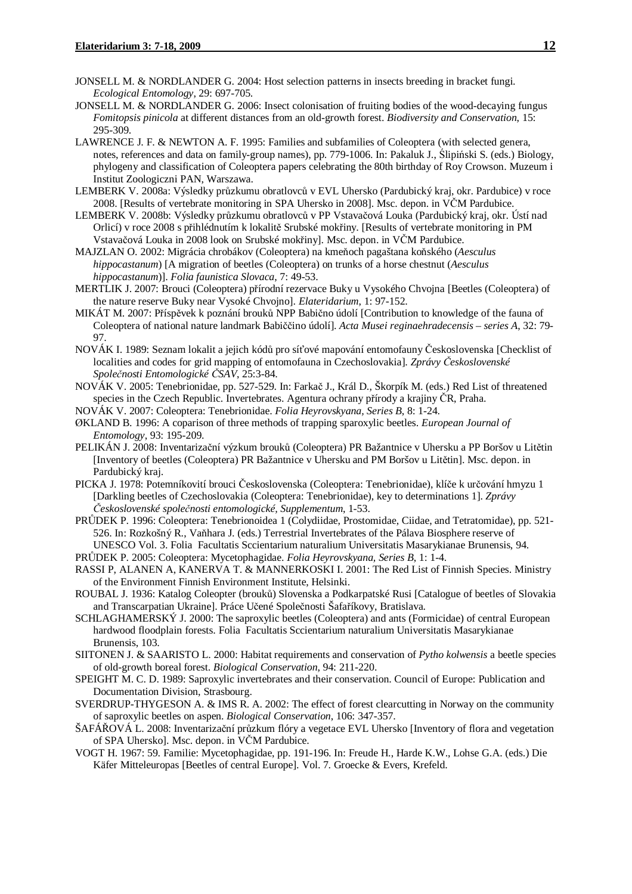- JONSELL M. & NORDLANDER G. 2004: Host selection patterns in insects breeding in bracket fungi. *Ecological Entomology*, 29: 697-705.
- JONSELL M. & NORDLANDER G. 2006: Insect colonisation of fruiting bodies of the wood-decaying fungus *Fomitopsis pinicola* at different distances from an old-growth forest. *Biodiversity and Conservation*, 15: 295-309.
- LAWRENCE J. F. & NEWTON A. F. 1995: Families and subfamilies of Coleoptera (with selected genera, notes, references and data on family-group names), pp. 779-1006. In: Pakaluk J., Ślipiński S. (eds.) Biology, phylogeny and classification of Coleoptera papers celebrating the 80th birthday of Roy Crowson. Muzeum i Institut Zoologiczni PAN, Warszawa.
- LEMBERK V. 2008a: Výsledky průzkumu obratlovců v EVL Uhersko (Pardubický kraj, okr. Pardubice) v roce 2008. [Results of vertebrate monitoring in SPA Uhersko in 2008]. Msc. depon. in VČM Pardubice.
- LEMBERK V. 2008b: Výsledky průzkumu obratlovců v PP Vstavačová Louka (Pardubický kraj, okr. Ústí nad Orlicí) v roce 2008 s přihlédnutím k lokalitě Srubské mokřiny. [Results of vertebrate monitoring in PM Vstavačová Louka in 2008 look on Srubské mokřiny]. Msc. depon. in VČM Pardubice.
- MAJZLAN O. 2002: Migrácia chrobákov (Coleoptera) na kmeňoch pagaštana koňského (*Aesculus hippocastanum*) [A migration of beetles (Coleoptera) on trunks of a horse chestnut (*Aesculus hippocastanum*)]. *Folia faunistica Slovaca*, 7: 49-53.
- MERTLIK J. 2007: Brouci (Coleoptera) přírodní rezervace Buky u Vysokého Chvojna [Beetles (Coleoptera) of the nature reserve Buky near Vysoké Chvojno]. *Elateridarium*, 1: 97-152.
- MIKÁT M. 2007: Příspěvek k poznání brouků NPP Babično údolí [Contribution to knowledge of the fauna of Coleoptera of national nature landmark Babiččino údolí]. *Acta Musei reginaehradecensis – series A*, 32: 79- 97.
- NOVÁK I. 1989: Seznam lokalit a jejich kódů pro síťové mapování entomofauny Československa [Checklist of localities and codes for grid mapping of entomofauna in Czechoslovakia]. *Zprávy Československé Společnosti Entomologické ČSAV*, 25:3-84.
- NOVÁK V. 2005: Tenebrionidae, pp. 527-529. In: Farkač J., Král D., Škorpík M. (eds.) Red List of threatened species in the Czech Republic. Invertebrates. Agentura ochrany přírody a krajiny ČR, Praha.
- NOVÁK V. 2007: Coleoptera: Tenebrionidae. *Folia Heyrovskyana, Series B*, 8: 1-24.
- ØKLAND B. 1996: A coparison of three methods of trapping sparoxylic beetles. *European Journal of Entomology*, 93: 195-209.
- PELIKÁN J. 2008: Inventarizační výzkum brouků (Coleoptera) PR Bažantnice v Uhersku a PP Boršov u Litětin [Inventory of beetles (Coleoptera) PR Bažantnice v Uhersku and PM Boršov u Litětin]. Msc. depon. in Pardubický kraj.
- PICKA J. 1978: Potemníkovití brouci Československa (Coleoptera: Tenebrionidae), klíče k určování hmyzu 1 [Darkling beetles of Czechoslovakia (Coleoptera: Tenebrionidae), key to determinations 1]. *Zprávy Československé společnosti entomologické, Supplementum*, 1-53.
- PRŮDEK P. 1996: Coleoptera: Tenebrionoidea 1 (Colydiidae, Prostomidae, Ciidae, and Tetratomidae), pp. 521- 526. In: Rozkošný R., Vaňhara J. (eds.) Terrestrial Invertebrates of the Pálava Biosphere reserve of UNESCO Vol. 3. Folia Facultatis Sccientarium naturalium Universitatis Masarykianae Brunensis, 94.
- PRŮDEK P. 2005: Coleoptera: Mycetophagidae. *Folia Heyrovskyana, Series B*, 1: 1-4.
- RASSI P, ALANEN A, KANERVA T. & MANNERKOSKI I. 2001: The Red List of Finnish Species. Ministry of the Environment Finnish Environment Institute, Helsinki.
- ROUBAL J. 1936: Katalog Coleopter (brouků) Slovenska a Podkarpatské Rusi [Catalogue of beetles of Slovakia and Transcarpatian Ukraine]. Práce Učené Společnosti Šafaříkovy, Bratislava.
- SCHLAGHAMERSKÝ J. 2000: The saproxylic beetles (Coleoptera) and ants (Formicidae) of central European hardwood floodplain forests. Folia Facultatis Sccientarium naturalium Universitatis Masarykianae Brunensis, 103.
- SIITONEN J. & SAARISTO L. 2000: Habitat requirements and conservation of *Pytho kolwensis* a beetle species of old-growth boreal forest. *Biological Conservation*, 94: 211-220.
- SPEIGHT M. C. D. 1989: Saproxylic invertebrates and their conservation. Council of Europe: Publication and Documentation Division, Strasbourg.
- SVERDRUP-THYGESON A. & IMS R. A. 2002: The effect of forest clearcutting in Norway on the community of saproxylic beetles on aspen. *Biological Conservation*, 106: 347-357.
- ŠAFÁŘOVÁ L. 2008: Inventarizační průzkum flóry a vegetace EVL Uhersko [Inventory of flora and vegetation of SPA Uhersko]. Msc. depon. in VČM Pardubice.
- VOGT H. 1967: 59. Familie: Mycetophagidae, pp. 191-196. In: Freude H., Harde K.W., Lohse G.A. (eds.) Die Käfer Mitteleuropas [Beetles of central Europe]. Vol. 7. Groecke & Evers, Krefeld.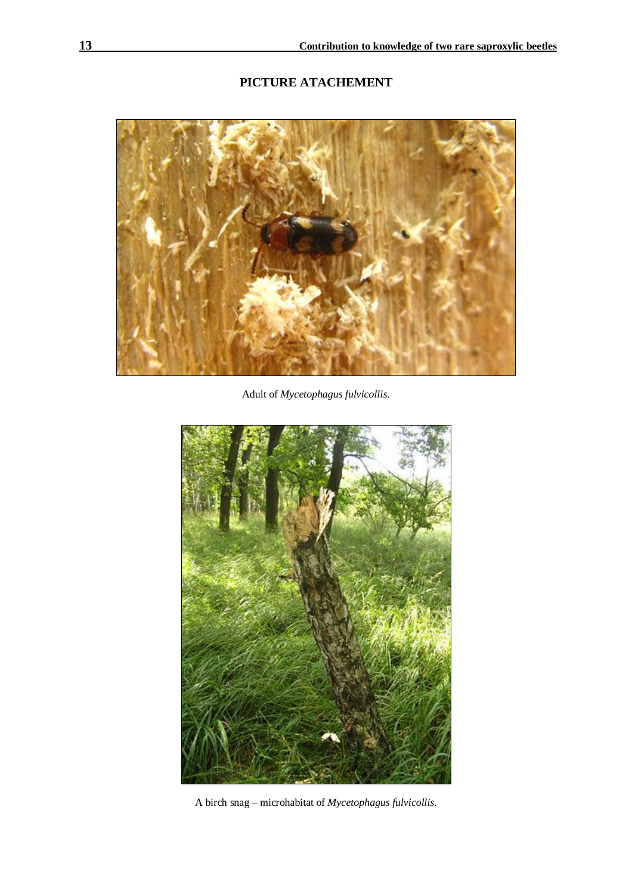# **PICTURE ATACHEMENT**



Adult of *Mycetophagus fulvicollis.* 



A birch snag – microhabitat of *Mycetophagus fulvicollis.*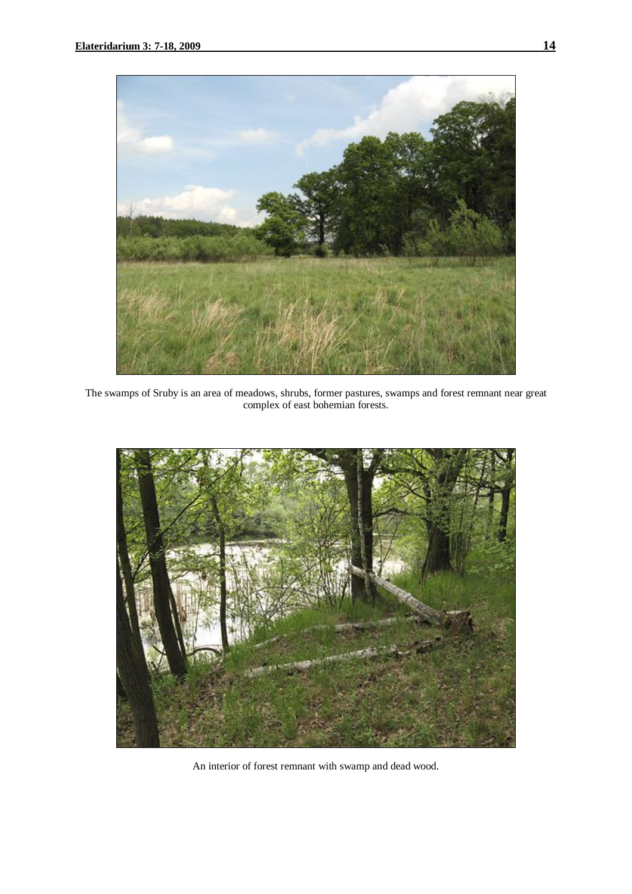

The swamps of Sruby is an area of meadows, shrubs, former pastures, swamps and forest remnant near great complex of east bohemian forests.



An interior of forest remnant with swamp and dead wood.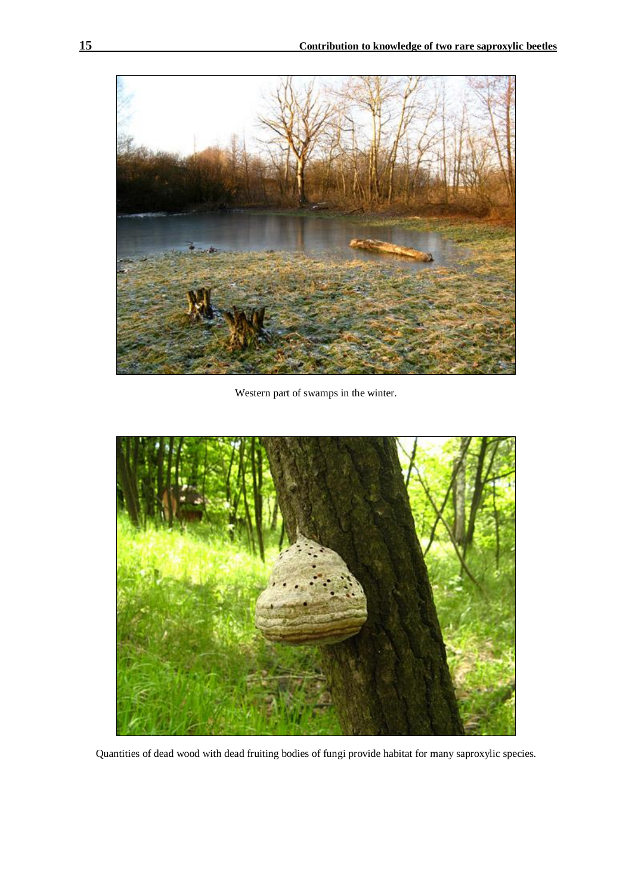

Western part of swamps in the winter.



Quantities of dead wood with dead fruiting bodies of fungi provide habitat for many saproxylic species.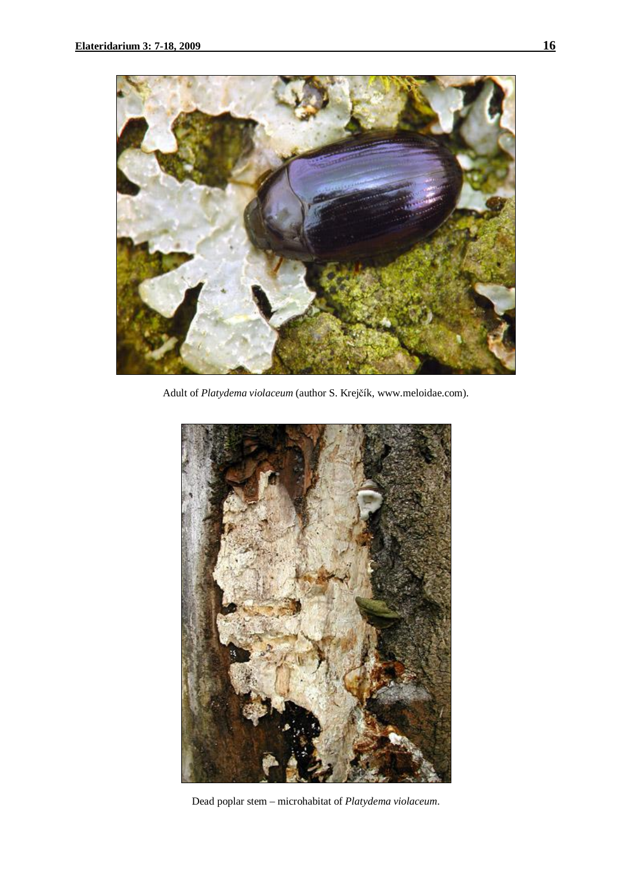

Adult of *Platydema violaceum* (author S. Krejčík, www.meloidae.com).



Dead poplar stem – microhabitat of *Platydema violaceum*.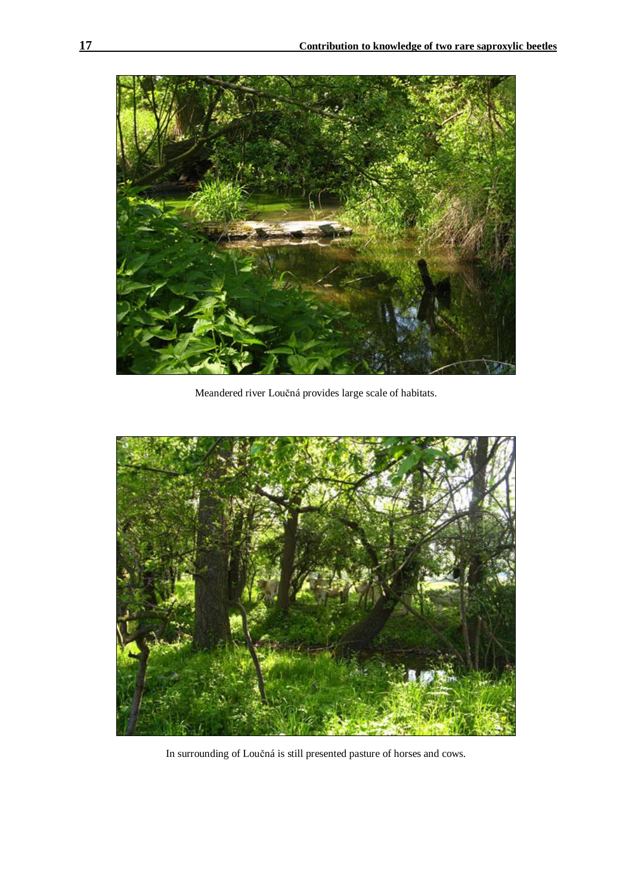

Meandered river Loučná provides large scale of habitats.



In surrounding of Loučná is still presented pasture of horses and cows.